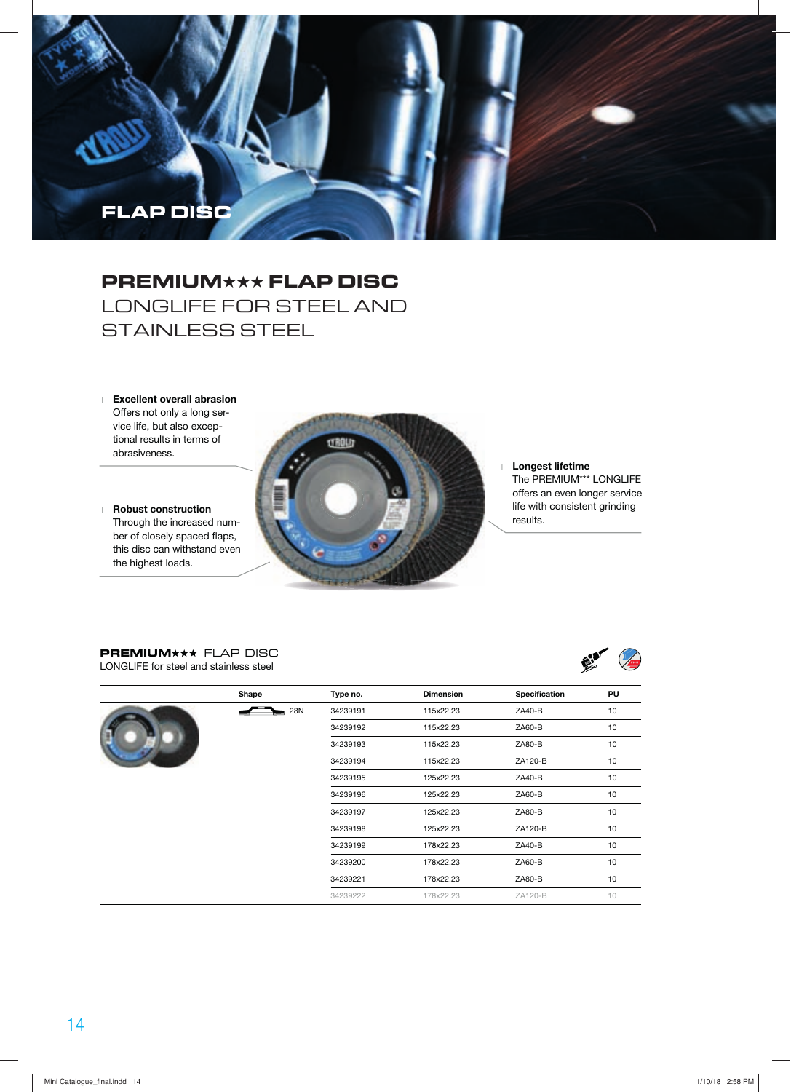# **FLAP DISC**

## **PREMIUM**★★★ **FLAP DISC** LONGLIFE FOR STEEL AND STAINLESS STEEL

- + **Excellent overall abrasion**  Offers not only a long service life, but also exceptional results in terms of abrasiveness.
- + **Robust construction** Through the increased number of closely spaced flaps, this disc can withstand even the highest loads.



#### + **Longest lifetime**  The PREMIUM\*\*\* LONGLIFE offers an even longer service life with consistent grinding results.

#### **PREMIUM\*\*\*** FLAP DISC LONGLIFE for steel and stainless steel

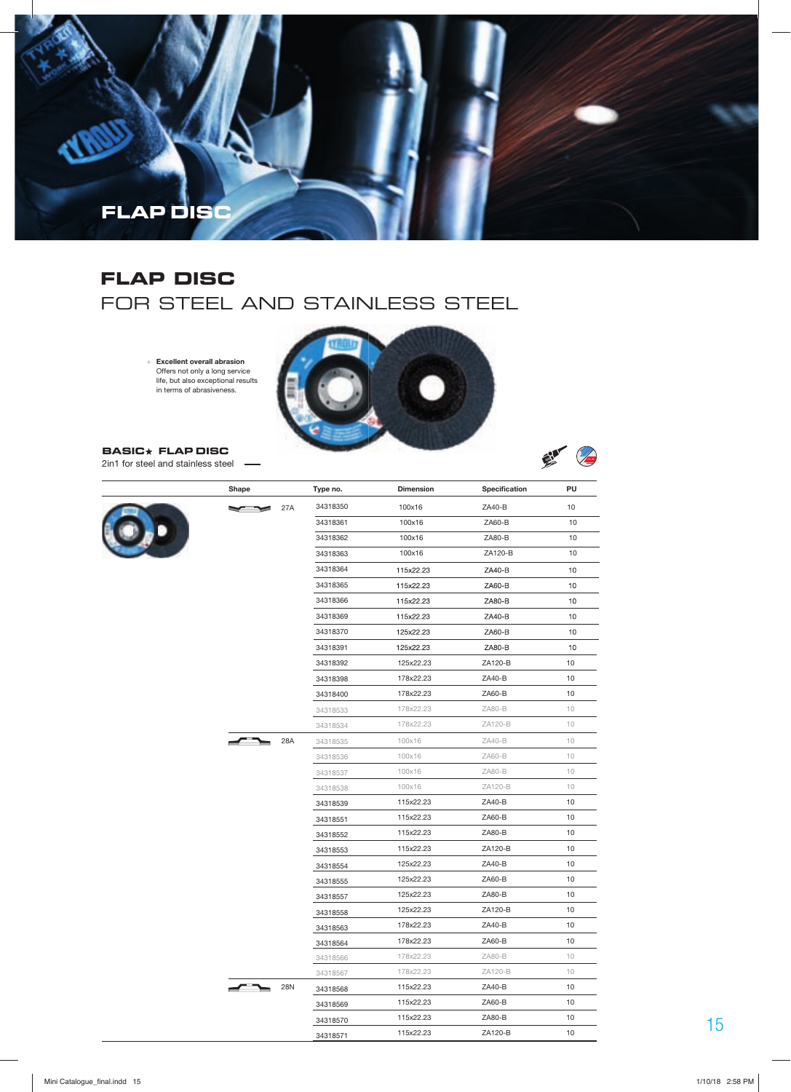

### **FLAP DISC** FOR STEEL AND STAINLESS STEEL

+ **Excellent overall abrasion**  Offers not only a long service life, but also exceptional results in terms of abrasiveness.



Ein C

**BASIC FLAP DISC**  2in1 for steel and stainless steel -

|  | Shape |     | Type no. | <b>Dimension</b> | Specification | PU     |
|--|-------|-----|----------|------------------|---------------|--------|
|  |       | 27A | 34318350 | 100x16           | ZA40-B        | 10     |
|  |       |     | 34318361 | 100x16           | ZA60-B        | 10     |
|  |       |     | 34318362 | 100x16           | ZA80-B        | 10     |
|  |       |     | 34318363 | 100x16           | ZA120-B       | 10     |
|  |       |     | 34318364 | 115x22.23        | ZA40-B        | 10     |
|  |       |     | 34318365 | 115x22.23        | ZA60-B        | 10     |
|  |       |     | 34318366 | 115x22.23        | ZA80-B        | 10     |
|  |       |     | 34318369 | 115x22.23        | ZA40-B        | 10     |
|  |       |     | 34318370 | 125x22.23        | ZA60-B        | 10     |
|  |       |     | 34318391 | 125x22.23        | ZA80-B        | 10     |
|  |       |     | 34318392 | 125x22.23        | ZA120-B       | 10     |
|  |       |     | 34318398 | 178x22.23        | ZA40-B        | 10     |
|  |       |     | 34318400 | 178x22.23        | ZA60-B        | 10     |
|  |       |     | 34318533 | 178x22.23        | ZA80-B        | 10     |
|  |       |     | 34318534 | 178x22.23        | ZA120-B       | 10     |
|  |       | 28A | 34318535 | 100x16           | ZA40-B        | $10$   |
|  |       |     | 34318536 | 100x16           | ZA60-B        | 10     |
|  |       |     | 34318537 | 100x16           | ZA80-B        | 10     |
|  |       |     | 34318538 | 100x16           | ZA120-B       | 10     |
|  |       |     | 34318539 | 115x22.23        | ZA40-B        | 10     |
|  |       |     | 34318551 | 115x22.23        | $ZA60-B$      | 10     |
|  |       |     | 34318552 | 115x22.23        | ZA80-B        | 10     |
|  |       |     | 34318553 | 115x22.23        | ZA120-B       | 10     |
|  |       |     | 34318554 | 125x22.23        | ZA40-B        | 10     |
|  |       |     | 34318555 | 125x22.23        | ZA60-B        | 10     |
|  |       |     | 34318557 | 125x22.23        | ZA80-B        | 10     |
|  |       |     | 34318558 | 125x22.23        | ZA120-B       | $10$   |
|  |       |     | 34318563 | 178x22.23        | ZA40-B        | 10     |
|  |       |     | 34318564 | 178x22.23        | ZA60-B        | 10     |
|  |       |     | 34318566 | 178x22.23        | ZA80-B        | $10\,$ |
|  |       |     | 34318567 | 178x22.23        | ZA120-B       | 10     |
|  |       | 28N | 34318568 | 115x22.23        | ZA40-B        | 10     |
|  |       |     | 34318569 | 115x22.23        | ZA60-B        | 10     |
|  |       |     | 34318570 | 115x22.23        | ZA80-B        | 10     |
|  |       |     |          | 115x22.23        | ZA120-B       | 10     |